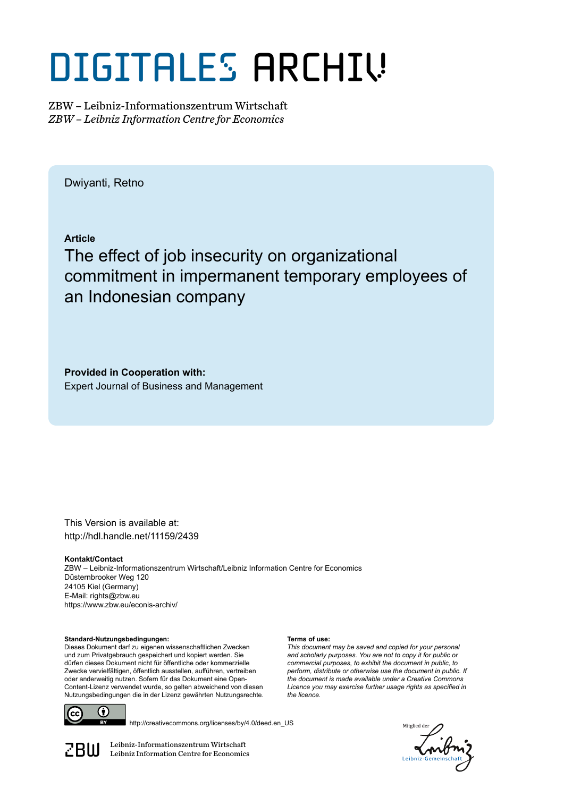# DIGITALES ARCHIV

ZBW – Leibniz-Informationszentrum Wirtschaft *ZBW – Leibniz Information Centre for Economics*

Dwiyanti, Retno

**Article**

The effect of job insecurity on organizational commitment in impermanent temporary employees of an Indonesian company

**Provided in Cooperation with:** Expert Journal of Business and Management

This Version is available at: http://hdl.handle.net/11159/2439

**Kontakt/Contact** ZBW – Leibniz-Informationszentrum Wirtschaft/Leibniz Information Centre for Economics Düsternbrooker Weg 120 24105 Kiel (Germany) E-Mail: rights@zbw.eu https://www.zbw.eu/econis-archiv/

**Standard-Nutzungsbedingungen:**

Dieses Dokument darf zu eigenen wissenschaftlichen Zwecken und zum Privatgebrauch gespeichert und kopiert werden. Sie dürfen dieses Dokument nicht für öffentliche oder kommerzielle Zwecke vervielfältigen, öffentlich ausstellen, aufführen, vertreiben oder anderweitig nutzen. Sofern für das Dokument eine Open-Content-Lizenz verwendet wurde, so gelten abweichend von diesen Nutzungsbedingungen die in der Lizenz gewährten Nutzungsrechte.



http://creativecommons.org/licenses/by/4.0/deed.en\_US

*Aitplied* 

 $\mathbb{Z} \text{B} \text{U}$  Leibniz-Informationszentrum Wirtschaft

#### **Terms of use:**

*This document may be saved and copied for your personal and scholarly purposes. You are not to copy it for public or commercial purposes, to exhibit the document in public, to perform, distribute or otherwise use the document in public. If the document is made available under a Creative Commons Licence you may exercise further usage rights as specified in the licence.*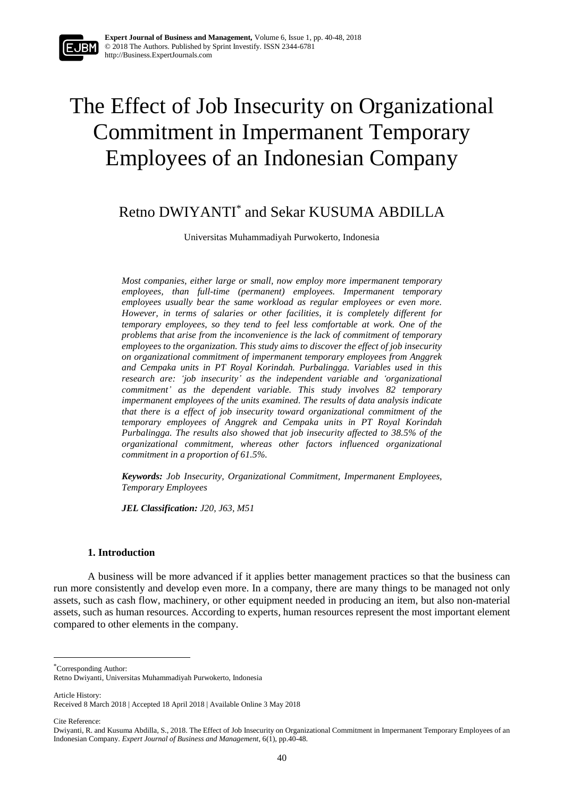

## The Effect of Job Insecurity on Organizational Commitment in Impermanent Temporary Employees of an Indonesian Company

### Retno DWIYANTI\* and Sekar KUSUMA ABDILLA

Universitas Muhammadiyah Purwokerto, Indonesia

*Most companies, either large or small, now employ more impermanent temporary employees, than full-time (permanent) employees. Impermanent temporary employees usually bear the same workload as regular employees or even more. However, in terms of salaries or other facilities, it is completely different for temporary employees, so they tend to feel less comfortable at work. One of the problems that arise from the inconvenience is the lack of commitment of temporary employees to the organization. This study aims to discover the effect of job insecurity on organizational commitment of impermanent temporary employees from Anggrek and Cempaka units in PT Royal Korindah. Purbalingga. Variables used in this research are: 'job insecurity' as the independent variable and 'organizational commitment' as the dependent variable. This study involves 82 temporary impermanent employees of the units examined. The results of data analysis indicate that there is a effect of job insecurity toward organizational commitment of the temporary employees of Anggrek and Cempaka units in PT Royal Korindah Purbalingga. The results also showed that job insecurity affected to 38.5% of the organizational commitment, whereas other factors influenced organizational commitment in a proportion of 61.5%.*

*Keywords: Job Insecurity, Organizational Commitment, Impermanent Employees, Temporary Employees*

*JEL Classification: J20, J63, M51*

#### **1. Introduction**

A business will be more advanced if it applies better management practices so that the business can run more consistently and develop even more. In a company, there are many things to be managed not only assets, such as cash flow, machinery, or other equipment needed in producing an item, but also non-material assets, such as human resources. According to experts, human resources represent the most important element compared to other elements in the company.

\*Corresponding Author:

Article History:

Cite Reference:

**.** 

Retno Dwiyanti, Universitas Muhammadiyah Purwokerto, Indonesia

Received 8 March 2018 | Accepted 18 April 2018 | Available Online 3 May 2018

Dwiyanti, R. and Kusuma Abdilla, S., 2018. The Effect of Job Insecurity on Organizational Commitment in Impermanent Temporary Employees of an Indonesian Company. *Expert Journal of Business and Management*, 6(1), pp.40-48.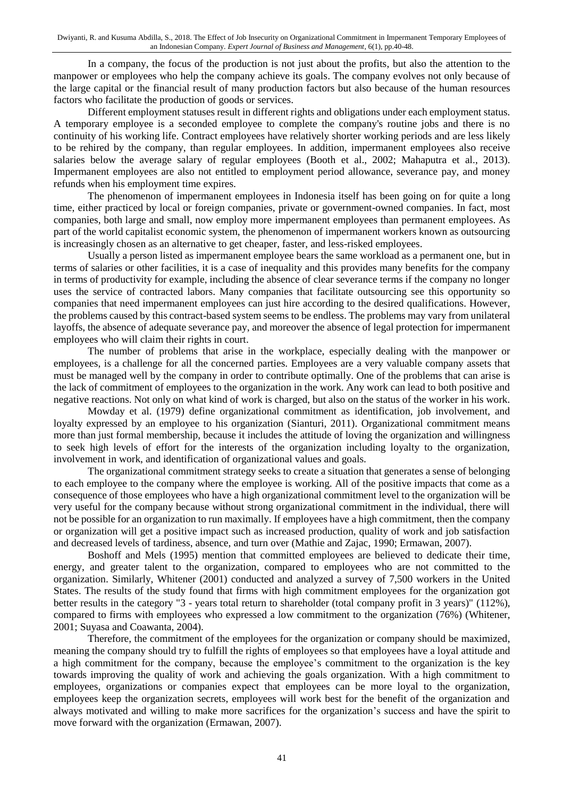In a company, the focus of the production is not just about the profits, but also the attention to the manpower or employees who help the company achieve its goals. The company evolves not only because of the large capital or the financial result of many production factors but also because of the human resources factors who facilitate the production of goods or services.

Different employment statuses result in different rights and obligations under each employment status. A temporary employee is a seconded employee to complete the company's routine jobs and there is no continuity of his working life. Contract employees have relatively shorter working periods and are less likely to be rehired by the company, than regular employees. In addition, impermanent employees also receive salaries below the average salary of regular employees (Booth et al., 2002; Mahaputra et al., 2013). Impermanent employees are also not entitled to employment period allowance, severance pay, and money refunds when his employment time expires.

The phenomenon of impermanent employees in Indonesia itself has been going on for quite a long time, either practiced by local or foreign companies, private or government-owned companies. In fact, most companies, both large and small, now employ more impermanent employees than permanent employees. As part of the world capitalist economic system, the phenomenon of impermanent workers known as outsourcing is increasingly chosen as an alternative to get cheaper, faster, and less-risked employees.

Usually a person listed as impermanent employee bears the same workload as a permanent one, but in terms of salaries or other facilities, it is a case of inequality and this provides many benefits for the company in terms of productivity for example, including the absence of clear severance terms if the company no longer uses the service of contracted labors. Many companies that facilitate outsourcing see this opportunity so companies that need impermanent employees can just hire according to the desired qualifications. However, the problems caused by this contract-based system seems to be endless. The problems may vary from unilateral layoffs, the absence of adequate severance pay, and moreover the absence of legal protection for impermanent employees who will claim their rights in court.

The number of problems that arise in the workplace, especially dealing with the manpower or employees, is a challenge for all the concerned parties. Employees are a very valuable company assets that must be managed well by the company in order to contribute optimally. One of the problems that can arise is the lack of commitment of employees to the organization in the work. Any work can lead to both positive and negative reactions. Not only on what kind of work is charged, but also on the status of the worker in his work.

Mowday et al. (1979) define organizational commitment as identification, job involvement, and loyalty expressed by an employee to his organization (Sianturi, 2011). Organizational commitment means more than just formal membership, because it includes the attitude of loving the organization and willingness to seek high levels of effort for the interests of the organization including loyalty to the organization, involvement in work, and identification of organizational values and goals.

The organizational commitment strategy seeks to create a situation that generates a sense of belonging to each employee to the company where the employee is working. All of the positive impacts that come as a consequence of those employees who have a high organizational commitment level to the organization will be very useful for the company because without strong organizational commitment in the individual, there will not be possible for an organization to run maximally. If employees have a high commitment, then the company or organization will get a positive impact such as increased production, quality of work and job satisfaction and decreased levels of tardiness, absence, and turn over (Mathie and Zajac, 1990; Ermawan, 2007).

Boshoff and Mels (1995) mention that committed employees are believed to dedicate their time, energy, and greater talent to the organization, compared to employees who are not committed to the organization. Similarly, Whitener (2001) conducted and analyzed a survey of 7,500 workers in the United States. The results of the study found that firms with high commitment employees for the organization got better results in the category "3 - years total return to shareholder (total company profit in 3 years)" (112%), compared to firms with employees who expressed a low commitment to the organization (76%) (Whitener, 2001; Suyasa and Coawanta, 2004).

Therefore, the commitment of the employees for the organization or company should be maximized, meaning the company should try to fulfill the rights of employees so that employees have a loyal attitude and a high commitment for the company, because the employee's commitment to the organization is the key towards improving the quality of work and achieving the goals organization. With a high commitment to employees, organizations or companies expect that employees can be more loyal to the organization, employees keep the organization secrets, employees will work best for the benefit of the organization and always motivated and willing to make more sacrifices for the organization's success and have the spirit to move forward with the organization (Ermawan, 2007).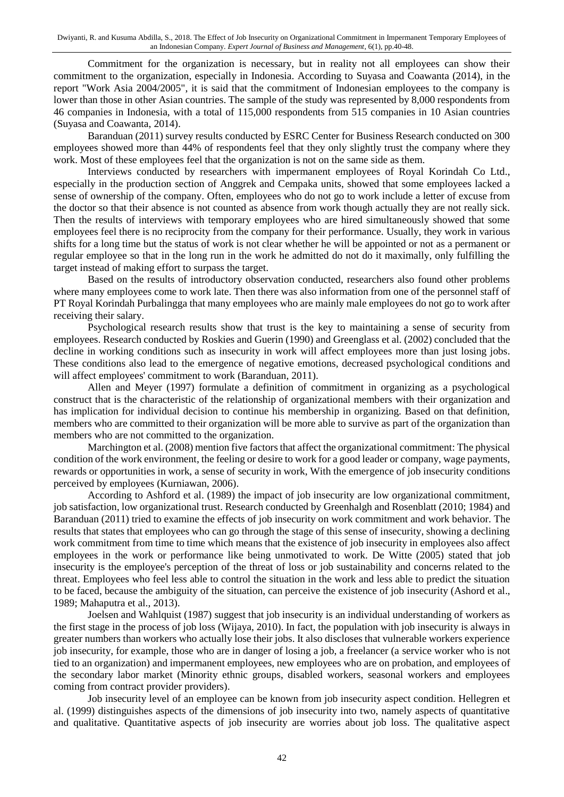Commitment for the organization is necessary, but in reality not all employees can show their commitment to the organization, especially in Indonesia. According to Suyasa and Coawanta (2014), in the report "Work Asia 2004/2005", it is said that the commitment of Indonesian employees to the company is lower than those in other Asian countries. The sample of the study was represented by 8,000 respondents from 46 companies in Indonesia, with a total of 115,000 respondents from 515 companies in 10 Asian countries (Suyasa and Coawanta, 2014).

Baranduan (2011) survey results conducted by ESRC Center for Business Research conducted on 300 employees showed more than 44% of respondents feel that they only slightly trust the company where they work. Most of these employees feel that the organization is not on the same side as them.

Interviews conducted by researchers with impermanent employees of Royal Korindah Co Ltd., especially in the production section of Anggrek and Cempaka units, showed that some employees lacked a sense of ownership of the company. Often, employees who do not go to work include a letter of excuse from the doctor so that their absence is not counted as absence from work though actually they are not really sick. Then the results of interviews with temporary employees who are hired simultaneously showed that some employees feel there is no reciprocity from the company for their performance. Usually, they work in various shifts for a long time but the status of work is not clear whether he will be appointed or not as a permanent or regular employee so that in the long run in the work he admitted do not do it maximally, only fulfilling the target instead of making effort to surpass the target.

Based on the results of introductory observation conducted, researchers also found other problems where many employees come to work late. Then there was also information from one of the personnel staff of PT Royal Korindah Purbalingga that many employees who are mainly male employees do not go to work after receiving their salary.

Psychological research results show that trust is the key to maintaining a sense of security from employees. Research conducted by Roskies and Guerin (1990) and Greenglass et al. (2002) concluded that the decline in working conditions such as insecurity in work will affect employees more than just losing jobs. These conditions also lead to the emergence of negative emotions, decreased psychological conditions and will affect employees' commitment to work (Baranduan, 2011).

Allen and Meyer (1997) formulate a definition of commitment in organizing as a psychological construct that is the characteristic of the relationship of organizational members with their organization and has implication for individual decision to continue his membership in organizing. Based on that definition, members who are committed to their organization will be more able to survive as part of the organization than members who are not committed to the organization.

Marchington et al. (2008) mention five factors that affect the organizational commitment: The physical condition of the work environment, the feeling or desire to work for a good leader or company, wage payments, rewards or opportunities in work, a sense of security in work, With the emergence of job insecurity conditions perceived by employees (Kurniawan, 2006).

According to Ashford et al. (1989) the impact of job insecurity are low organizational commitment, job satisfaction, low organizational trust. Research conducted by Greenhalgh and Rosenblatt (2010; 1984) and Baranduan (2011) tried to examine the effects of job insecurity on work commitment and work behavior. The results that states that employees who can go through the stage of this sense of insecurity, showing a declining work commitment from time to time which means that the existence of job insecurity in employees also affect employees in the work or performance like being unmotivated to work. De Witte (2005) stated that job insecurity is the employee's perception of the threat of loss or job sustainability and concerns related to the threat. Employees who feel less able to control the situation in the work and less able to predict the situation to be faced, because the ambiguity of the situation, can perceive the existence of job insecurity (Ashord et al., 1989; Mahaputra et al., 2013).

Joelsen and Wahlquist (1987) suggest that job insecurity is an individual understanding of workers as the first stage in the process of job loss (Wijaya, 2010). In fact, the population with job insecurity is always in greater numbers than workers who actually lose their jobs. It also discloses that vulnerable workers experience job insecurity, for example, those who are in danger of losing a job, a freelancer (a service worker who is not tied to an organization) and impermanent employees, new employees who are on probation, and employees of the secondary labor market (Minority ethnic groups, disabled workers, seasonal workers and employees coming from contract provider providers).

Job insecurity level of an employee can be known from job insecurity aspect condition. Hellegren et al. (1999) distinguishes aspects of the dimensions of job insecurity into two, namely aspects of quantitative and qualitative. Quantitative aspects of job insecurity are worries about job loss. The qualitative aspect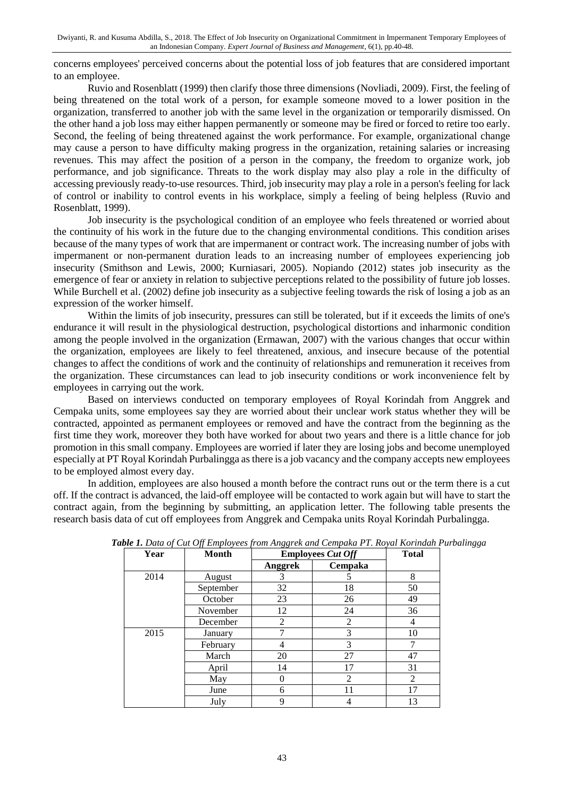concerns employees' perceived concerns about the potential loss of job features that are considered important to an employee.

Ruvio and Rosenblatt (1999) then clarify those three dimensions (Novliadi, 2009). First, the feeling of being threatened on the total work of a person, for example someone moved to a lower position in the organization, transferred to another job with the same level in the organization or temporarily dismissed. On the other hand a job loss may either happen permanently or someone may be fired or forced to retire too early. Second, the feeling of being threatened against the work performance. For example, organizational change may cause a person to have difficulty making progress in the organization, retaining salaries or increasing revenues. This may affect the position of a person in the company, the freedom to organize work, job performance, and job significance. Threats to the work display may also play a role in the difficulty of accessing previously ready-to-use resources. Third, job insecurity may play a role in a person's feeling for lack of control or inability to control events in his workplace, simply a feeling of being helpless (Ruvio and Rosenblatt, 1999).

Job insecurity is the psychological condition of an employee who feels threatened or worried about the continuity of his work in the future due to the changing environmental conditions. This condition arises because of the many types of work that are impermanent or contract work. The increasing number of jobs with impermanent or non-permanent duration leads to an increasing number of employees experiencing job insecurity (Smithson and Lewis, 2000; Kurniasari, 2005). Nopiando (2012) states job insecurity as the emergence of fear or anxiety in relation to subjective perceptions related to the possibility of future job losses. While Burchell et al. (2002) define job insecurity as a subjective feeling towards the risk of losing a job as an expression of the worker himself.

Within the limits of job insecurity, pressures can still be tolerated, but if it exceeds the limits of one's endurance it will result in the physiological destruction, psychological distortions and inharmonic condition among the people involved in the organization (Ermawan, 2007) with the various changes that occur within the organization, employees are likely to feel threatened, anxious, and insecure because of the potential changes to affect the conditions of work and the continuity of relationships and remuneration it receives from the organization. These circumstances can lead to job insecurity conditions or work inconvenience felt by employees in carrying out the work.

Based on interviews conducted on temporary employees of Royal Korindah from Anggrek and Cempaka units, some employees say they are worried about their unclear work status whether they will be contracted, appointed as permanent employees or removed and have the contract from the beginning as the first time they work, moreover they both have worked for about two years and there is a little chance for job promotion in this small company. Employees are worried if later they are losing jobs and become unemployed especially at PT Royal Korindah Purbalingga as there is a job vacancy and the company accepts new employees to be employed almost every day.

In addition, employees are also housed a month before the contract runs out or the term there is a cut off. If the contract is advanced, the laid-off employee will be contacted to work again but will have to start the contract again, from the beginning by submitting, an application letter. The following table presents the research basis data of cut off employees from Anggrek and Cempaka units Royal Korindah Purbalingga.

| Year | Month     | <b>Employees Cut Off</b> |         | <b>Total</b> |
|------|-----------|--------------------------|---------|--------------|
|      |           | Anggrek                  | Cempaka |              |
| 2014 | August    | 3                        | 5       | 8            |
|      | September | 32                       | 18      | 50           |
|      | October   | 23                       | 26      | 49           |
|      | November  | 12                       | 24      | 36           |
|      | December  | 2                        | 2       | 4            |
| 2015 | January   |                          | 3       | 10           |
|      | February  | 4                        | 3       |              |
|      | March     | 20                       | 27      | 47           |
|      | April     | 14                       | 17      | 31           |
|      | May       | $\Omega$                 | 2       | 2            |
|      | June      | 6                        | 11      | 17           |
|      | July      | 9                        | 4       | 13           |

*Table 1. Data of Cut Off Employees from Anggrek and Cempaka PT. Royal Korindah Purbalingga*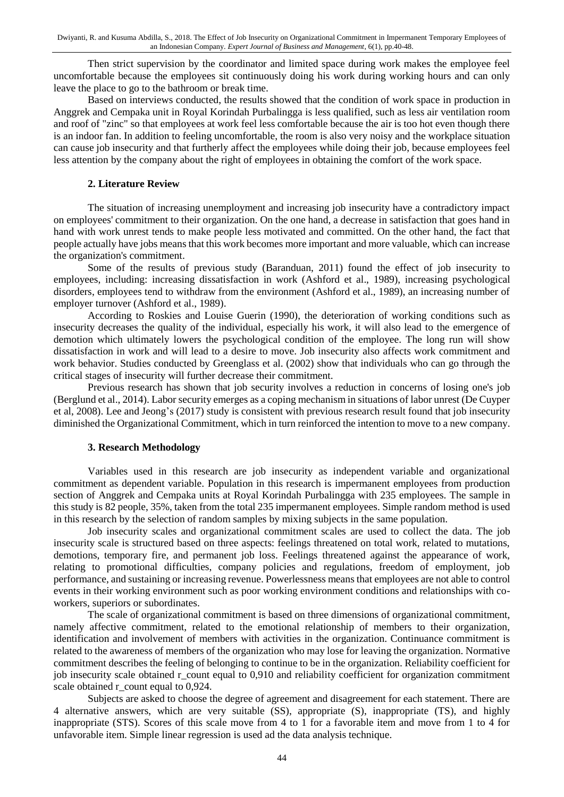Then strict supervision by the coordinator and limited space during work makes the employee feel uncomfortable because the employees sit continuously doing his work during working hours and can only leave the place to go to the bathroom or break time.

Based on interviews conducted, the results showed that the condition of work space in production in Anggrek and Cempaka unit in Royal Korindah Purbalingga is less qualified, such as less air ventilation room and roof of "zinc" so that employees at work feel less comfortable because the air is too hot even though there is an indoor fan. In addition to feeling uncomfortable, the room is also very noisy and the workplace situation can cause job insecurity and that furtherly affect the employees while doing their job, because employees feel less attention by the company about the right of employees in obtaining the comfort of the work space.

#### **2. Literature Review**

The situation of increasing unemployment and increasing job insecurity have a contradictory impact on employees' commitment to their organization. On the one hand, a decrease in satisfaction that goes hand in hand with work unrest tends to make people less motivated and committed. On the other hand, the fact that people actually have jobs means that this work becomes more important and more valuable, which can increase the organization's commitment.

Some of the results of previous study (Baranduan, 2011) found the effect of job insecurity to employees, including: increasing dissatisfaction in work (Ashford et al., 1989), increasing psychological disorders, employees tend to withdraw from the environment (Ashford et al., 1989), an increasing number of employer turnover (Ashford et al., 1989).

According to Roskies and Louise Guerin (1990), the deterioration of working conditions such as insecurity decreases the quality of the individual, especially his work, it will also lead to the emergence of demotion which ultimately lowers the psychological condition of the employee. The long run will show dissatisfaction in work and will lead to a desire to move. Job insecurity also affects work commitment and work behavior. Studies conducted by Greenglass et al. (2002) show that individuals who can go through the critical stages of insecurity will further decrease their commitment.

Previous research has shown that job security involves a reduction in concerns of losing one's job (Berglund et al., 2014). Labor security emerges as a coping mechanism in situations of labor unrest (De Cuyper et al, 2008). Lee and Jeong's (2017) study is consistent with previous research result found that job insecurity diminished the Organizational Commitment, which in turn reinforced the intention to move to a new company.

#### **3. Research Methodology**

Variables used in this research are job insecurity as independent variable and organizational commitment as dependent variable. Population in this research is impermanent employees from production section of Anggrek and Cempaka units at Royal Korindah Purbalingga with 235 employees. The sample in this study is 82 people, 35%, taken from the total 235 impermanent employees. Simple random method is used in this research by the selection of random samples by mixing subjects in the same population.

Job insecurity scales and organizational commitment scales are used to collect the data. The job insecurity scale is structured based on three aspects: feelings threatened on total work, related to mutations, demotions, temporary fire, and permanent job loss. Feelings threatened against the appearance of work, relating to promotional difficulties, company policies and regulations, freedom of employment, job performance, and sustaining or increasing revenue. Powerlessness means that employees are not able to control events in their working environment such as poor working environment conditions and relationships with coworkers, superiors or subordinates.

The scale of organizational commitment is based on three dimensions of organizational commitment, namely affective commitment, related to the emotional relationship of members to their organization, identification and involvement of members with activities in the organization. Continuance commitment is related to the awareness of members of the organization who may lose for leaving the organization. Normative commitment describes the feeling of belonging to continue to be in the organization. Reliability coefficient for job insecurity scale obtained r\_count equal to 0,910 and reliability coefficient for organization commitment scale obtained r\_count equal to 0,924.

Subjects are asked to choose the degree of agreement and disagreement for each statement. There are 4 alternative answers, which are very suitable (SS), appropriate (S), inappropriate (TS), and highly inappropriate (STS). Scores of this scale move from 4 to 1 for a favorable item and move from 1 to 4 for unfavorable item. Simple linear regression is used ad the data analysis technique.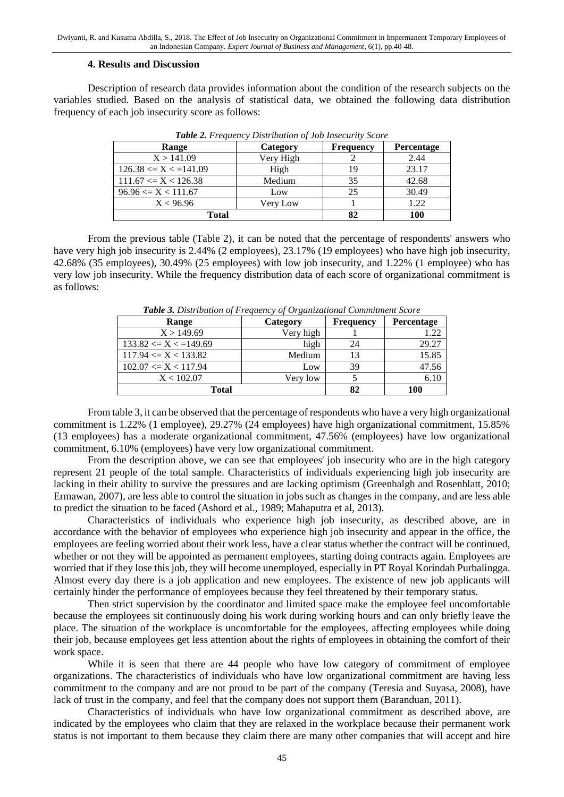#### **4. Results and Discussion**

Description of research data provides information about the condition of the research subjects on the variables studied. Based on the analysis of statistical data, we obtained the following data distribution frequency of each job insecurity score as follows:

| Range                     | Category  | <b>Frequency</b> | <b>Percentage</b> |
|---------------------------|-----------|------------------|-------------------|
| X > 141.09                | Very High |                  | 2.44              |
| $126.38 \le X \le 141.09$ | High      |                  | 23.17             |
| $111.67 \le X \le 126.38$ | Medium    | 35               | 42.68             |
| $96.96 \le X \le 111.67$  | Low       | 25               | 30.49             |
| X < 96.96                 | Very Low  |                  | 1.22              |
| Total                     |           | 100              |                   |

*Table 2. Frequency Distribution of Job Insecurity Score*

From the previous table (Table 2), it can be noted that the percentage of respondents' answers who have very high job insecurity is 2.44% (2 employees), 23.17% (19 employees) who have high job insecurity, 42.68% (35 employees), 30.49% (25 employees) with low job insecurity, and 1.22% (1 employee) who has very low job insecurity. While the frequency distribution data of each score of organizational commitment is as follows:

| <b>Table 5.</b> Distribution of Frequency of Organizational Communicity Score<br>Range | Category  | <b>Frequency</b> | Percentage |
|----------------------------------------------------------------------------------------|-----------|------------------|------------|
| X > 149.69                                                                             | Very high |                  | 1.22       |
| $133.82 \le X \le 149.69$                                                              | high      | 24               | 29.27      |
| $117.94 \le X \le 133.82$                                                              | Medium    | 13               | 15.85      |
| $102.07 \leq X \leq 117.94$                                                            | Low       | 39               | 47.56      |
| X < 102.07                                                                             | Very low  |                  | 6.10       |
| Total                                                                                  | 82        | 100              |            |

*Table 3. Distribution of Frequency of Organizational Commitment Score*

From table 3, it can be observed that the percentage of respondents who have a very high organizational commitment is 1.22% (1 employee), 29.27% (24 employees) have high organizational commitment, 15.85% (13 employees) has a moderate organizational commitment, 47.56% (employees) have low organizational commitment, 6.10% (employees) have very low organizational commitment.

From the description above, we can see that employees' job insecurity who are in the high category represent 21 people of the total sample. Characteristics of individuals experiencing high job insecurity are lacking in their ability to survive the pressures and are lacking optimism (Greenhalgh and Rosenblatt, 2010; Ermawan, 2007), are less able to control the situation in jobs such as changes in the company, and are less able to predict the situation to be faced (Ashord et al., 1989; Mahaputra et al, 2013).

Characteristics of individuals who experience high job insecurity, as described above, are in accordance with the behavior of employees who experience high job insecurity and appear in the office, the employees are feeling worried about their work less, have a clear status whether the contract will be continued, whether or not they will be appointed as permanent employees, starting doing contracts again. Employees are worried that if they lose this job, they will become unemployed, especially in PT Royal Korindah Purbalingga. Almost every day there is a job application and new employees. The existence of new job applicants will certainly hinder the performance of employees because they feel threatened by their temporary status.

Then strict supervision by the coordinator and limited space make the employee feel uncomfortable because the employees sit continuously doing his work during working hours and can only briefly leave the place. The situation of the workplace is uncomfortable for the employees, affecting employees while doing their job, because employees get less attention about the rights of employees in obtaining the comfort of their work space.

While it is seen that there are 44 people who have low category of commitment of employee organizations. The characteristics of individuals who have low organizational commitment are having less commitment to the company and are not proud to be part of the company (Teresia and Suyasa, 2008), have lack of trust in the company, and feel that the company does not support them (Baranduan, 2011).

Characteristics of individuals who have low organizational commitment as described above, are indicated by the employees who claim that they are relaxed in the workplace because their permanent work status is not important to them because they claim there are many other companies that will accept and hire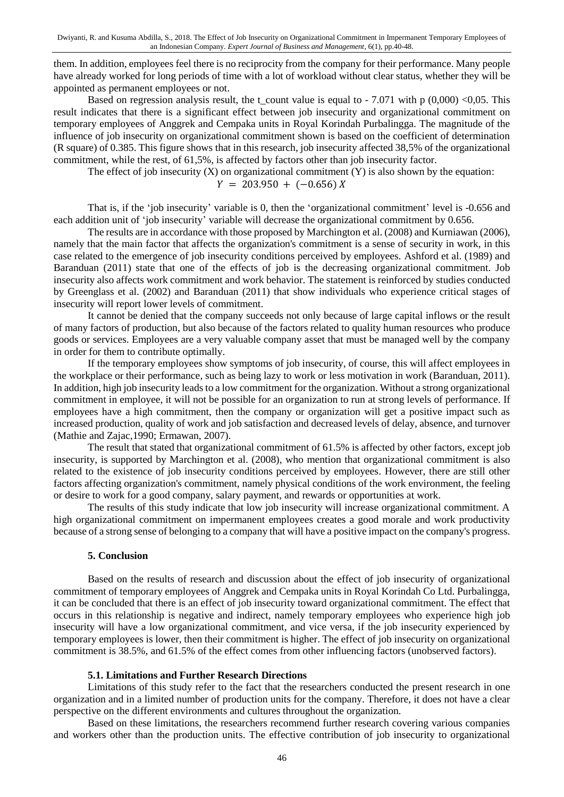them. In addition, employees feel there is no reciprocity from the company for their performance. Many people have already worked for long periods of time with a lot of workload without clear status, whether they will be appointed as permanent employees or not.

Based on regression analysis result, the t count value is equal to - 7.071 with p (0,000) <0,05. This result indicates that there is a significant effect between job insecurity and organizational commitment on temporary employees of Anggrek and Cempaka units in Royal Korindah Purbalingga. The magnitude of the influence of job insecurity on organizational commitment shown is based on the coefficient of determination (R square) of 0.385. This figure shows that in this research, job insecurity affected 38,5% of the organizational commitment, while the rest, of 61,5%, is affected by factors other than job insecurity factor.

The effect of job insecurity  $(X)$  on organizational commitment  $(Y)$  is also shown by the equation:

 $Y = 203.950 + (-0.656) X$ 

That is, if the 'job insecurity' variable is 0, then the 'organizational commitment' level is -0.656 and each addition unit of 'job insecurity' variable will decrease the organizational commitment by 0.656.

The results are in accordance with those proposed by Marchington et al. (2008) and Kurniawan (2006), namely that the main factor that affects the organization's commitment is a sense of security in work, in this case related to the emergence of job insecurity conditions perceived by employees. Ashford et al. (1989) and Baranduan (2011) state that one of the effects of job is the decreasing organizational commitment. Job insecurity also affects work commitment and work behavior. The statement is reinforced by studies conducted by Greenglass et al. (2002) and Baranduan (2011) that show individuals who experience critical stages of insecurity will report lower levels of commitment.

It cannot be denied that the company succeeds not only because of large capital inflows or the result of many factors of production, but also because of the factors related to quality human resources who produce goods or services. Employees are a very valuable company asset that must be managed well by the company in order for them to contribute optimally.

If the temporary employees show symptoms of job insecurity, of course, this will affect employees in the workplace or their performance, such as being lazy to work or less motivation in work (Baranduan, 2011). In addition, high job insecurity leads to a low commitment for the organization. Without a strong organizational commitment in employee, it will not be possible for an organization to run at strong levels of performance. If employees have a high commitment, then the company or organization will get a positive impact such as increased production, quality of work and job satisfaction and decreased levels of delay, absence, and turnover (Mathie and Zajac,1990; Ermawan, 2007).

The result that stated that organizational commitment of 61.5% is affected by other factors, except job insecurity, is supported by Marchington et al. (2008), who mention that organizational commitment is also related to the existence of job insecurity conditions perceived by employees. However, there are still other factors affecting organization's commitment, namely physical conditions of the work environment, the feeling or desire to work for a good company, salary payment, and rewards or opportunities at work.

The results of this study indicate that low job insecurity will increase organizational commitment. A high organizational commitment on impermanent employees creates a good morale and work productivity because of a strong sense of belonging to a company that will have a positive impact on the company's progress.

#### **5. Conclusion**

Based on the results of research and discussion about the effect of job insecurity of organizational commitment of temporary employees of Anggrek and Cempaka units in Royal Korindah Co Ltd. Purbalingga, it can be concluded that there is an effect of job insecurity toward organizational commitment. The effect that occurs in this relationship is negative and indirect, namely temporary employees who experience high job insecurity will have a low organizational commitment, and vice versa, if the job insecurity experienced by temporary employees is lower, then their commitment is higher. The effect of job insecurity on organizational commitment is 38.5%, and 61.5% of the effect comes from other influencing factors (unobserved factors).

#### **5.1. Limitations and Further Research Directions**

Limitations of this study refer to the fact that the researchers conducted the present research in one organization and in a limited number of production units for the company. Therefore, it does not have a clear perspective on the different environments and cultures throughout the organization.

Based on these limitations, the researchers recommend further research covering various companies and workers other than the production units. The effective contribution of job insecurity to organizational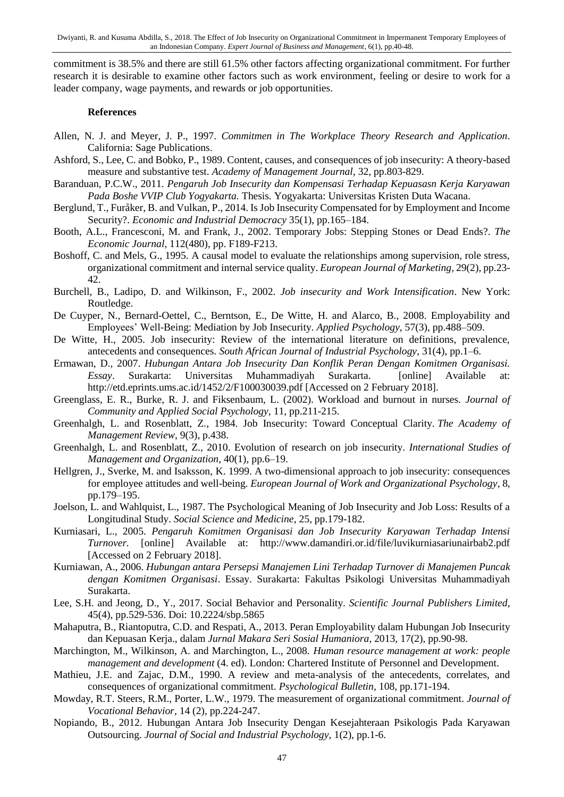commitment is 38.5% and there are still 61.5% other factors affecting organizational commitment. For further research it is desirable to examine other factors such as work environment, feeling or desire to work for a leader company, wage payments, and rewards or job opportunities.

#### **References**

- Allen, N. J. and Meyer, J. P., 1997. *Commitmen in The Workplace Theory Research and Application*. California: Sage Publications.
- Ashford, S., Lee, C. and Bobko, P., 1989. Content, causes, and consequences of job insecurity: A theory-based measure and substantive test. *Academy of Management Journal,* 32, pp.803-829.
- Baranduan, P.C.W., 2011. *Pengaruh Job Insecurity dan Kompensasi Terhadap Kepuasasn Kerja Karyawan Pada Boshe VVIP Club Yogyakarta.* Thesis*.* Yogyakarta: Universitas Kristen Duta Wacana.
- Berglund, T., Furåker, B. and Vulkan, P., 2014. Is Job Insecurity Compensated for by Employment and Income Security?. *Economic and Industrial Democracy* 35(1), pp.165–184.
- Booth, A.L., Francesconi, M. and Frank, J., 2002. Temporary Jobs: Stepping Stones or Dead Ends?. *The Economic Journal,* 112(480), pp. F189-F213.
- Boshoff, C. and Mels, G., 1995. A causal model to evaluate the relationships among supervision, role stress, organizational commitment and internal service quality. *European Journal of Marketing*, 29(2), pp.23- 42.
- Burchell, B., Ladipo, D. and Wilkinson, F., 2002. *Job insecurity and Work Intensification*. New York: Routledge.
- De Cuyper, N., Bernard-Oettel, C., Berntson, E., De Witte, H. and Alarco, B., 2008. Employability and Employees' Well-Being: Mediation by Job Insecurity. *Applied Psychology,* 57(3), pp.488–509.
- De Witte, H., 2005. Job insecurity: Review of the international literature on definitions, prevalence, antecedents and consequences. *South African Journal of Industrial Psychology*, 31(4), pp.1–6.
- Ermawan, D., 2007. *Hubungan Antara Job Insecurity Dan Konflik Peran Dengan Komitmen Organisasi. Essay*. Surakarta: Universitas Muhammadiyah Surakarta. [online] Available at: http://etd.eprints.ums.ac.id/1452/2/F100030039.pdf [Accessed on 2 February 2018].
- Greenglass, E. R., Burke, R. J. and Fiksenbaum, L. (2002). Workload and burnout in nurses. *Journal of Community and Applied Social Psychology,* 11, pp.211-215.
- Greenhalgh, L. and Rosenblatt, Z., 1984. Job Insecurity: Toward Conceptual Clarity. *The Academy of Management Review*, 9(3), p.438.
- Greenhalgh, L. and Rosenblatt, Z., 2010. Evolution of research on job insecurity. *International Studies of Management and Organization*, 40(1), pp.6–19.
- Hellgren, J., Sverke, M. and Isaksson, K. 1999. A two-dimensional approach to job insecurity: consequences for employee attitudes and well-being. *European Journal of Work and Organizational Psychology*, 8, pp.179–195.
- Joelson, L. and Wahlquist, L., 1987. The Psychological Meaning of Job Insecurity and Job Loss: Results of a Longitudinal Study. *Social Science and Medicine*, 25, pp.179-182.
- Kurniasari, L., 2005. *Pengaruh Komitmen Organisasi dan Job Insecurity Karyawan Terhadap Intensi Turnover.* [online] Available at: http://www.damandiri.or.id/file/luvikurniasariunairbab2.pdf [Accessed on 2 February 2018].
- Kurniawan, A., 2006. *Hubungan antara Persepsi Manajemen Lini Terhadap Turnover di Manajemen Puncak dengan Komitmen Organisasi*. Essay. Surakarta: Fakultas Psikologi Universitas Muhammadiyah Surakarta.
- Lee, S.H. and Jeong, D., Y., 2017. Social Behavior and Personality. *Scientific Journal Publishers Limited*, 45(4), pp.529-536. Doi: 10.2224/sbp.5865
- Mahaputra, B., Riantoputra, C.D. and Respati, A., 2013. Peran Employability dalam Hubungan Job Insecurity dan Kepuasan Kerja., dalam *Jurnal Makara Seri Sosial Humaniora*, 2013, 17(2), pp.90-98.
- Marchington, M., Wilkinson, A. and Marchington, L., 2008. *Human resource management at work: people management and development* (4. ed). London: Chartered Institute of Personnel and Development.
- Mathieu, J.E. and Zajac, D.M., 1990. A review and meta-analysis of the antecedents, correlates, and consequences of organizational commitment. *Psychological Bulletin*, 108, pp.171-194.
- Mowday, R.T. Steers, R.M., Porter, L.W., 1979. The measurement of organizational commitment. *Journal of Vocational Behavior*, 14 (2), pp.224-247.
- Nopiando, B., 2012. Hubungan Antara Job Insecurity Dengan Kesejahteraan Psikologis Pada Karyawan Outsourcing. *Journal of Social and Industrial Psychology,* 1(2), pp.1-6.